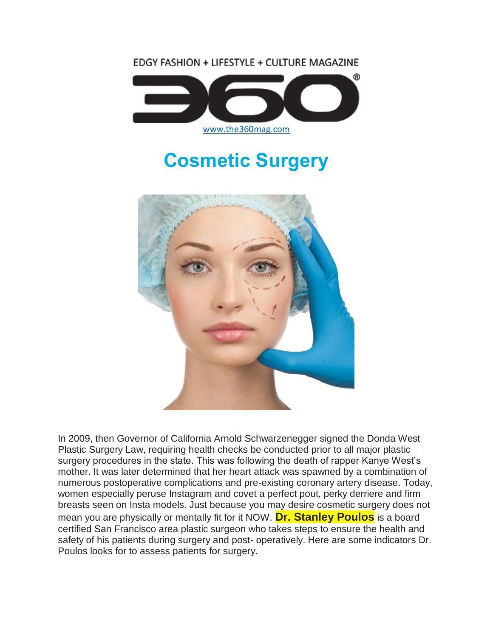EDGY FASHION + LIFESTYLE + CULTURE MAGAZINE



# **Cosmetic Surgery**



In 2009, then Governor of California Arnold Schwarzenegger signed the Donda West Plastic Surgery Law, requiring health checks be conducted prior to all major plastic surgery procedures in the state. This was following the death of rapper Kanye West's mother. It was later determined that her heart attack was spawned by a combination of numerous postoperative complications and pre-existing coronary artery disease. Today, women especially peruse Instagram and covet a perfect pout, perky derriere and firm breasts seen on Insta models. Just because you may desire cosmetic surgery does not mean you are physically or mentally fit for it NOW. **Dr. Stanley Poulos** is a board certified San Francisco area plastic surgeon who takes steps to ensure the health and safety of his patients during surgery and post- operatively. Here are some indicators Dr. Poulos looks for to assess patients for surgery.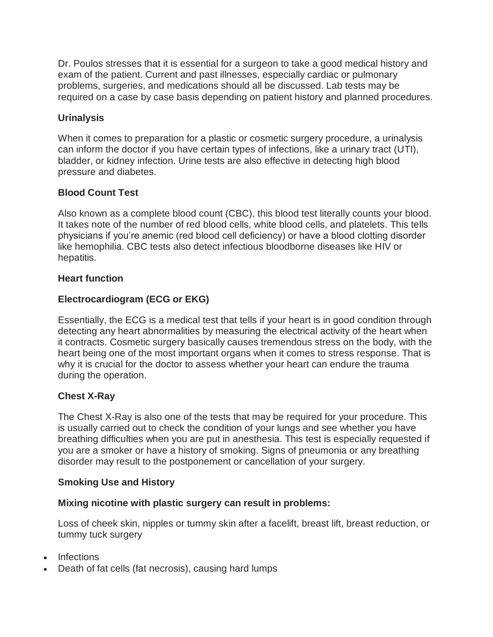Dr. Poulos stresses that it is essential for a surgeon to take a good medical history and exam of the patient. Current and past illnesses, especially cardiac or pulmonary problems, surgeries, and medications should all be discussed. Lab tests may be required on a case by case basis depending on patient history and planned procedures.

# **Urinalysis**

When it comes to preparation for a plastic or cosmetic surgery procedure, a urinalysis can inform the doctor if you have certain types of infections, like a urinary tract (UTI), bladder, or kidney infection. Urine tests are also effective in detecting high blood pressure and diabetes.

# **Blood Count Test**

Also known as a complete blood count (CBC), this blood test literally counts your blood. It takes note of the number of red blood cells, white blood cells, and platelets. This tells physicians if you're anemic (red blood cell deficiency) or have a blood clotting disorder like hemophilia. CBC tests also detect infectious bloodborne diseases like HIV or hepatitis.

# **Heart function**

# **Electrocardiogram (ECG or EKG)**

Essentially, the ECG is a medical test that tells if your heart is in good condition through detecting any heart abnormalities by measuring the electrical activity of the heart when it contracts. Cosmetic surgery basically causes tremendous stress on the body, with the heart being one of the most important organs when it comes to stress response. That is why it is crucial for the doctor to assess whether your heart can endure the trauma during the operation.

# **Chest X-Ray**

The Chest X-Ray is also one of the tests that may be required for your procedure. This is usually carried out to check the condition of your lungs and see whether you have breathing difficulties when you are put in anesthesia. This test is especially requested if you are a smoker or have a history of smoking. Signs of pneumonia or any breathing disorder may result to the postponement or cancellation of your surgery.

# **Smoking Use and History**

# **Mixing nicotine with plastic surgery can result in problems:**

Loss of cheek skin, nipples or tummy skin after a facelift, breast lift, breast reduction, or tummy tuck surgery

- **Infections**
- Death of fat cells (fat necrosis), causing hard lumps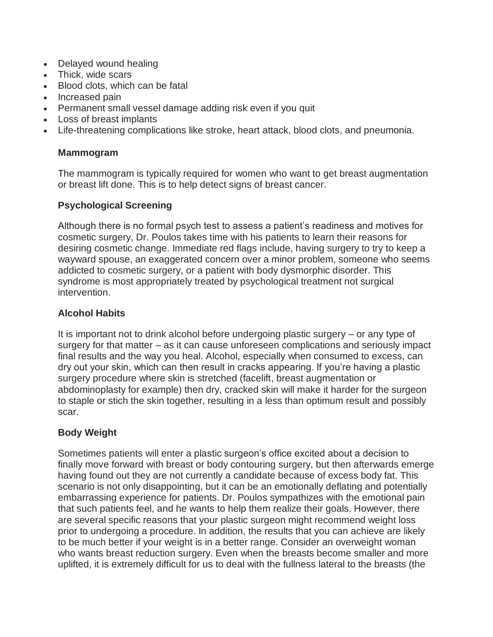- Delayed wound healing
- Thick, wide scars
- Blood clots, which can be fatal
- Increased pain
- Permanent small vessel damage adding risk even if you quit
- Loss of breast implants
- Life-threatening complications like stroke, heart attack, blood clots, and pneumonia.

#### **Mammogram**

The mammogram is typically required for women who want to get breast augmentation or breast lift done. This is to help detect signs of breast cancer.

#### **Psychological Screening**

Although there is no formal psych test to assess a patient's readiness and motives for cosmetic surgery, Dr. Poulos takes time with his patients to learn their reasons for desiring cosmetic change. Immediate red flags include, having surgery to try to keep a wayward spouse, an exaggerated concern over a minor problem, someone who seems addicted to cosmetic surgery, or a patient with body dysmorphic disorder. This syndrome is most appropriately treated by psychological treatment not surgical intervention.

#### **Alcohol Habits**

It is important not to drink alcohol before undergoing plastic surgery – or any type of surgery for that matter – as it can cause unforeseen complications and seriously impact final results and the way you heal. Alcohol, especially when consumed to excess, can dry out your skin, which can then result in cracks appearing. If you're having a plastic surgery procedure where skin is stretched (facelift, breast augmentation or abdominoplasty for example) then dry, cracked skin will make it harder for the surgeon to staple or stich the skin together, resulting in a less than optimum result and possibly scar.

# **Body Weight**

Sometimes patients will enter a plastic surgeon's office excited about a decision to finally move forward with breast or body contouring surgery, but then afterwards emerge having found out they are not currently a candidate because of excess body fat. This scenario is not only disappointing, but it can be an emotionally deflating and potentially embarrassing experience for patients. Dr. Poulos sympathizes with the emotional pain that such patients feel, and he wants to help them realize their goals. However, there are several specific reasons that your plastic surgeon might recommend weight loss prior to undergoing a procedure. In addition, the results that you can achieve are likely to be much better if your weight is in a better range. Consider an overweight woman who wants breast reduction surgery. Even when the breasts become smaller and more uplifted, it is extremely difficult for us to deal with the fullness lateral to the breasts (the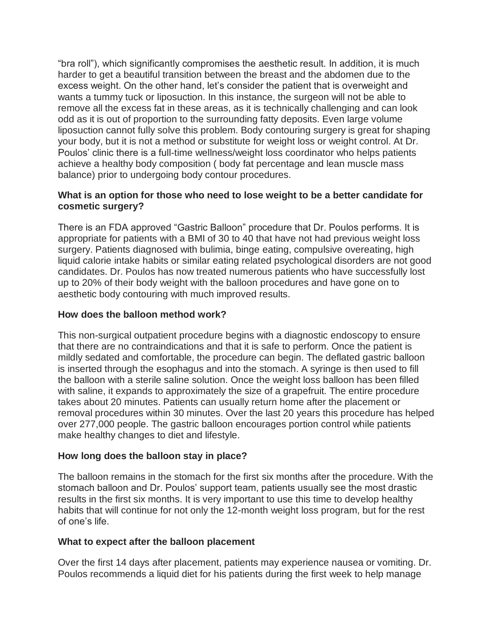"bra roll"), which significantly compromises the aesthetic result. In addition, it is much harder to get a beautiful transition between the breast and the abdomen due to the excess weight. On the other hand, let's consider the patient that is overweight and wants a tummy tuck or liposuction. In this instance, the surgeon will not be able to remove all the excess fat in these areas, as it is technically challenging and can look odd as it is out of proportion to the surrounding fatty deposits. Even large volume liposuction cannot fully solve this problem. Body contouring surgery is great for shaping your body, but it is not a method or substitute for weight loss or weight control. At Dr. Poulos' clinic there is a full-time wellness/weight loss coordinator who helps patients achieve a healthy body composition ( body fat percentage and lean muscle mass balance) prior to undergoing body contour procedures.

#### **What is an option for those who need to lose weight to be a better candidate for cosmetic surgery?**

There is an FDA approved "Gastric Balloon" procedure that Dr. Poulos performs. It is appropriate for patients with a BMI of 30 to 40 that have not had previous weight loss surgery. Patients diagnosed with bulimia, binge eating, compulsive overeating, high liquid calorie intake habits or similar eating related psychological disorders are not good candidates. Dr. Poulos has now treated numerous patients who have successfully lost up to 20% of their body weight with the balloon procedures and have gone on to aesthetic body contouring with much improved results.

#### **How does the balloon method work?**

This non-surgical outpatient procedure begins with a diagnostic endoscopy to ensure that there are no contraindications and that it is safe to perform. Once the patient is mildly sedated and comfortable, the procedure can begin. The deflated gastric balloon is inserted through the esophagus and into the stomach. A syringe is then used to fill the balloon with a sterile saline solution. Once the weight loss balloon has been filled with saline, it expands to approximately the size of a grapefruit. The entire procedure takes about 20 minutes. Patients can usually return home after the placement or removal procedures within 30 minutes. Over the last 20 years this procedure has helped over 277,000 people. The gastric balloon encourages portion control while patients make healthy changes to diet and lifestyle.

#### **How long does the balloon stay in place?**

The balloon remains in the stomach for the first six months after the procedure. With the stomach balloon and Dr. Poulos' support team, patients usually see the most drastic results in the first six months. It is very important to use this time to develop healthy habits that will continue for not only the 12-month weight loss program, but for the rest of one's life.

#### **What to expect after the balloon placement**

Over the first 14 days after placement, patients may experience nausea or vomiting. Dr. Poulos recommends a liquid diet for his patients during the first week to help manage